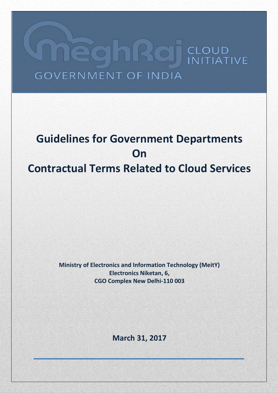# **ECHIRCL** CLOUD **GOVERNMENT OF INDIA**

# **Guidelines for Government Departments On Contractual Terms Related to Cloud Services**

**Ministry of Electronics and Information Technology (MeitY) Electronics Niketan, 6, CGO Complex New Delhi-110 003**

**March 31, 2017**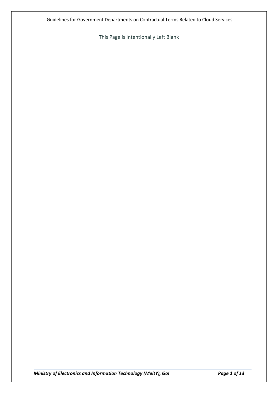Guidelines for Government Departments on Contractual Terms Related to Cloud Services

This Page is Intentionally Left Blank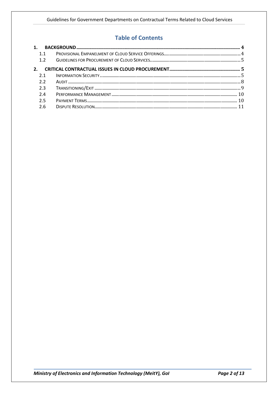# **Table of Contents**

| 1.             |  |
|----------------|--|
| 1 <sub>1</sub> |  |
| 1 <sub>2</sub> |  |
|                |  |
| 21             |  |
| 2.2            |  |
| 2.3            |  |
| 2.4            |  |
| 2.5            |  |
| 2.6            |  |
|                |  |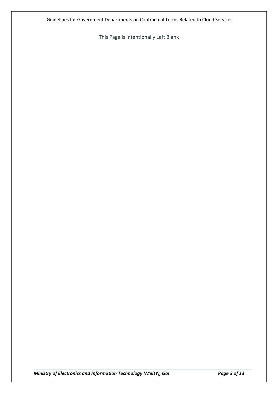Guidelines for Government Departments on Contractual Terms Related to Cloud Services

This Page is Intentionally Left Blank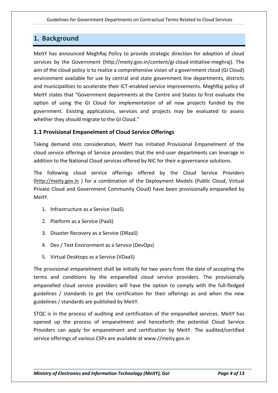# **1. Background**

MeitY has announced MeghRaj Policy to provide strategic direction for adoption of cloud services by the Government (http://meity.gov.in/content/gi-cloud-initiative-meghraj). The aim of the cloud policy is to realize a comprehensive vision of a government cloud (GI Cloud) environment available for use by central and state government line departments, districts and municipalities to accelerate their ICT-enabled service improvements. MeghRaj policy of MeitY states that "Government departments at the Centre and States to first evaluate the option of using the GI Cloud for implementation of all new projects funded by the government. Existing applications, services and projects may be evaluated to assess whether they should migrate to the GI Cloud."

#### **1.1 Provisional Empanelment of Cloud Service Offerings**

Taking demand into consideration, MeitY has initiated Provisional Empanelment of the cloud service offerings of Service providers that the end-user departments can leverage in addition to the National Cloud services offered by NIC for their e-governance solutions.

The following cloud service offerings offered by the Cloud Service Providers [\(http://meity.gov.in](http://meity.gov.in/) ) for a combination of the Deployment Models (Public Cloud, Virtual Private Cloud and Government Community Cloud) have been provisionally empanelled by MeitY.

- 1. Infrastructure as a Service (IaaS)
- 2. Platform as a Service (PaaS)
- 3. Disaster Recovery as a Service (DRaaS)
- 4. Dev / Test Environment as a Service (DevOps)
- 5. Virtual Desktops as a Service (VDaaS)

The provisional empanelment shall be initially for two years from the date of accepting the terms and conditions by the empanelled cloud service providers. The provisionally empanelled cloud service providers will have the option to comply with the full-fledged guidelines / standards to get the certification for their offerings as and when the new guidelines / standards are published by MeitY.

STQC is in the process of auditing and certification of the empanelled services. MeitY has opened up the process of empanelment and henceforth the potential Cloud Service Providers can apply for empanelment and certification by MeitY. The audited/certified service offerings of various CSPs are available at www://meity.gov.in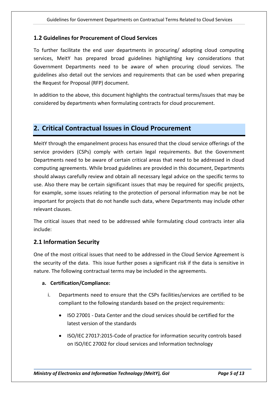#### **1.2 Guidelines for Procurement of Cloud Services**

To further facilitate the end user departments in procuring/ adopting cloud computing services, MeitY has prepared broad guidelines highlighting key considerations that Government Departments need to be aware of when procuring cloud services. The guidelines also detail out the services and requirements that can be used when preparing the Request for Proposal (RFP) document.

In addition to the above, this document highlights the contractual terms/issues that may be considered by departments when formulating contracts for cloud procurement.

# **2. Critical Contractual Issues in Cloud Procurement**

MeitY through the empanelment process has ensured that the cloud service offerings of the service providers (CSPs) comply with certain legal requirements. But the Government Departments need to be aware of certain critical areas that need to be addressed in cloud computing agreements. While broad guidelines are provided in this document, Departments should always carefully review and obtain all necessary legal advice on the specific terms to use. Also there may be certain significant issues that may be required for specific projects, for example, some issues relating to the protection of personal information may be not be important for projects that do not handle such data, where Departments may include other relevant clauses.

The critical issues that need to be addressed while formulating cloud contracts inter alia include:

#### **2.1 Information Security**

One of the most critical issues that need to be addressed in the Cloud Service Agreement is the security of the data. This issue further poses a significant risk if the data is sensitive in nature. The following contractual terms may be included in the agreements.

#### **a. Certification/Compliance:**

- i. Departments need to ensure that the CSPs facilities/services are certified to be compliant to the following standards based on the project requirements:
	- ISO 27001 Data Center and the cloud services should be certified for the latest version of the standards
	- ISO/IEC 27017:2015-Code of practice for information security controls based on ISO/IEC 27002 for cloud services and Information technology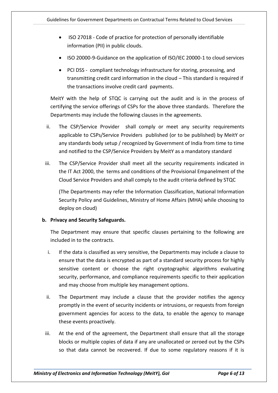- ISO 27018 Code of practice for protection of personally identifiable information (PII) in public clouds.
- ISO 20000-9-Guidance on the application of ISO/IEC 20000-1 to cloud services
- PCI DSS compliant technology infrastructure for storing, processing, and transmitting credit card information in the cloud – This standard is required if the transactions involve credit card payments.

MeitY with the help of STQC is carrying out the audit and is in the process of certifying the service offerings of CSPs for the above three standards. Therefore the Departments may include the following clauses in the agreements.

- ii. The CSP/Service Provider shall comply or meet any security requirements applicable to CSPs/Service Providers published (or to be published) by MeitY or any standards body setup / recognized by Government of India from time to time and notified to the CSP/Service Providers by MeitY as a mandatory standard
- iii. The CSP/Service Provider shall meet all the security requirements indicated in the IT Act 2000, the terms and conditions of the Provisional Empanelment of the Cloud Service Providers and shall comply to the audit criteria defined by STQC

(The Departments may refer the Information Classification, National Information Security Policy and Guidelines, Ministry of Home Affairs (MHA) while choosing to deploy on cloud)

#### **b. Privacy and Security Safeguards.**

The Department may ensure that specific clauses pertaining to the following are included in to the contracts.

- i. If the data is classified as very sensitive, the Departments may include a clause to ensure that the data is encrypted as part of a standard security process for highly sensitive content or choose the right cryptographic algorithms evaluating security, performance, and compliance requirements specific to their application and may choose from multiple key management options.
- ii. The Department may include a clause that the provider notifies the agency promptly in the event of security incidents or intrusions, or requests from foreign government agencies for access to the data, to enable the agency to manage these events proactively.
- iii. At the end of the agreement, the Department shall ensure that all the storage blocks or multiple copies of data if any are unallocated or zeroed out by the CSPs so that data cannot be recovered. If due to some regulatory reasons if it is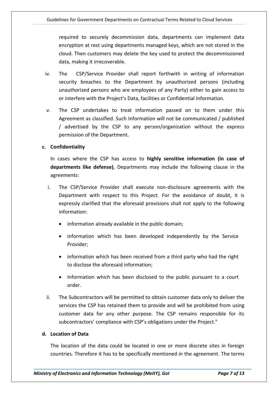required to securely decommission data, departments can implement data encryption at rest using departments managed keys, which are not stored in the cloud. Then customers may delete the key used to protect the decommissioned data, making it irrecoverable.

- iv. The CSP/Service Provider shall report forthwith in writing of information security breaches to the Department by unauthorized persons (including unauthorized persons who are employees of any Party) either to gain access to or interfere with the Project's Data, facilities or Confidential Information.
- v. The CSP undertakes to treat information passed on to them under this Agreement as classified. Such Information will not be communicated / published / advertised by the CSP to any person/organization without the express permission of the Department.

#### **c. Confidentiality**

In cases where the CSP has access to **highly sensitive information (in case of departments like defense)**, Departments may include the following clause in the agreements:

- i. The CSP/Service Provider shall execute non-disclosure agreements with the Department with respect to this Project. For the avoidance of doubt, it is expressly clarified that the aforesaid provisions shall not apply to the following information:
	- information already available in the public domain;
	- information which has been developed independently by the Service Provider;
	- information which has been received from a third party who had the right to disclose the aforesaid information;
	- Information which has been disclosed to the public pursuant to a court order.
- ii. The Subcontractors will be permitted to obtain customer data only to deliver the services the CSP has retained them to provide and will be prohibited from using customer data for any other purpose. The CSP remains responsible for its subcontractors' compliance with CSP's obligations under the Project."

#### **d. Location of Data**

The location of the data could be located in one or more discrete sites in foreign countries. Therefore it has to be specifically mentioned in the agreement. The terms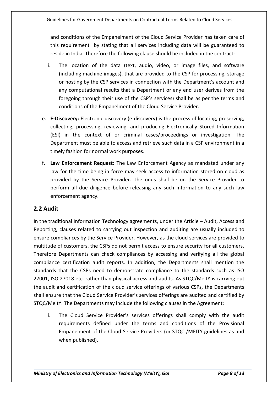and conditions of the Empanelment of the Cloud Service Provider has taken care of this requirement by stating that all services including data will be guaranteed to reside in India. Therefore the following clause should be included in the contract:

- i. The location of the data (text, audio, video, or image files, and software (including machine images), that are provided to the CSP for processing, storage or hosting by the CSP services in connection with the Department's account and any computational results that a Department or any end user derives from the foregoing through their use of the CSP's services) shall be as per the terms and conditions of the Empanelment of the Cloud Service Provider.
- e. **E-Discovery:** Electronic discovery (e-discovery) is the process of locating, preserving, collecting, processing, reviewing, and producing Electronically Stored Information (ESI) in the context of or criminal cases/proceedings or investigation. The Department must be able to access and retrieve such data in a CSP environment in a timely fashion for normal work purposes.
- f. **Law Enforcement Request:** The Law Enforcement Agency as mandated under any law for the time being in force may seek access to information stored on cloud as provided by the Service Provider. The onus shall be on the Service Provider to perform all due diligence before releasing any such information to any such law enforcement agency.

#### **2.2 Audit**

In the traditional Information Technology agreements, under the Article – Audit, Access and Reporting, clauses related to carrying out inspection and auditing are usually included to ensure compliances by the Service Provider. However, as the cloud services are provided to multitude of customers, the CSPs do not permit access to ensure security for all customers. Therefore Departments can check compliances by accessing and verifying all the global compliance certification audit reports. In addition, the Departments shall mention the standards that the CSPs need to demonstrate compliance to the standards such as ISO 27001, ISO 27018 etc. rather than physical access and audits. As STQC/MeitY is carrying out the audit and certification of the cloud service offerings of various CSPs, the Departments shall ensure that the Cloud Service Provider's services offerings are audited and certified by STQC/MeitY. The Departments may include the following clauses in the Agreement:

i. The Cloud Service Provider's services offerings shall comply with the audit requirements defined under the terms and conditions of the Provisional Empanelment of the Cloud Service Providers (or STQC /MEITY guidelines as and when published).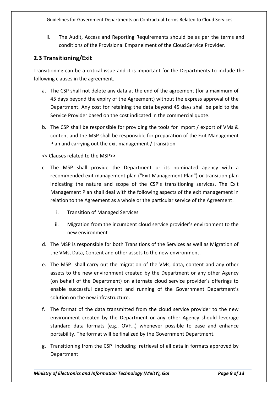ii. The Audit, Access and Reporting Requirements should be as per the terms and conditions of the Provisional Empanelment of the Cloud Service Provider.

## **2.3 Transitioning/Exit**

Transitioning can be a critical issue and it is important for the Departments to include the following clauses in the agreement.

- a. The CSP shall not delete any data at the end of the agreement (for a maximum of 45 days beyond the expiry of the Agreement) without the express approval of the Department. Any cost for retaining the data beyond 45 days shall be paid to the Service Provider based on the cost indicated in the commercial quote.
- b. The CSP shall be responsible for providing the tools for import / export of VMs & content and the MSP shall be responsible for preparation of the Exit Management Plan and carrying out the exit management / transition
- << Clauses related to the MSP>>
- c. The MSP shall provide the Department or its nominated agency with a recommended exit management plan ("Exit Management Plan") or transition plan indicating the nature and scope of the CSP's transitioning services. The Exit Management Plan shall deal with the following aspects of the exit management in relation to the Agreement as a whole or the particular service of the Agreement:
	- i. Transition of Managed Services
	- ii. Migration from the incumbent cloud service provider's environment to the new environment
- d. The MSP is responsible for both Transitions of the Services as well as Migration of the VMs, Data, Content and other assets to the new environment.
- e. The MSP shall carry out the migration of the VMs, data, content and any other assets to the new environment created by the Department or any other Agency (on behalf of the Department) on alternate cloud service provider's offerings to enable successful deployment and running of the Government Department's solution on the new infrastructure.
- f. The format of the data transmitted from the cloud service provider to the new environment created by the Department or any other Agency should leverage standard data formats (e.g., OVF…) whenever possible to ease and enhance portability. The format will be finalized by the Government Department.
- g. Transitioning from the CSP including retrieval of all data in formats approved by Department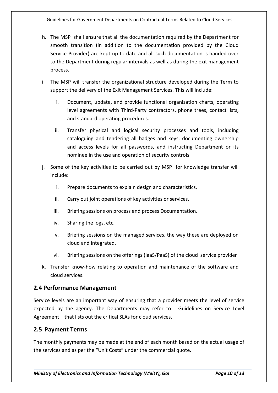- h. The MSP shall ensure that all the documentation required by the Department for smooth transition (in addition to the documentation provided by the Cloud Service Provider) are kept up to date and all such documentation is handed over to the Department during regular intervals as well as during the exit management process.
- i. The MSP will transfer the organizational structure developed during the Term to support the delivery of the Exit Management Services. This will include:
	- i. Document, update, and provide functional organization charts, operating level agreements with Third-Party contractors, phone trees, contact lists, and standard operating procedures.
	- ii. Transfer physical and logical security processes and tools, including cataloguing and tendering all badges and keys, documenting ownership and access levels for all passwords, and instructing Department or its nominee in the use and operation of security controls.
- j. Some of the key activities to be carried out by MSP for knowledge transfer will include:
	- i. Prepare documents to explain design and characteristics.
	- ii. Carry out joint operations of key activities or services.
	- iii. Briefing sessions on process and process Documentation.
	- iv. Sharing the logs, etc.
	- v. Briefing sessions on the managed services, the way these are deployed on cloud and integrated.
	- vi. Briefing sessions on the offerings (IaaS/PaaS) of the cloud service provider
- k. Transfer know-how relating to operation and maintenance of the software and cloud services.

#### **2.4 Performance Management**

Service levels are an important way of ensuring that a provider meets the level of service expected by the agency. The Departments may refer to - Guidelines on Service Level Agreement – that lists out the critical SLAs for cloud services.

#### **2.5 Payment Terms**

The monthly payments may be made at the end of each month based on the actual usage of the services and as per the "Unit Costs" under the commercial quote.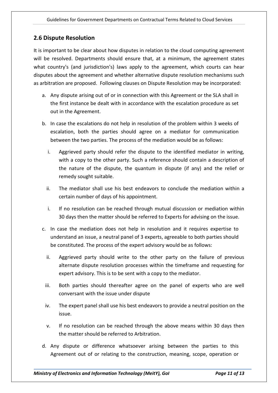### **2.6 Dispute Resolution**

It is important to be clear about how disputes in relation to the cloud computing agreement will be resolved. Departments should ensure that, at a minimum, the agreement states what country's (and jurisdiction's) laws apply to the agreement, which courts can hear disputes about the agreement and whether alternative dispute resolution mechanisms such as arbitration are proposed. Following clauses on Dispute Resolution may be incorporated:

- a. Any dispute arising out of or in connection with this Agreement or the SLA shall in the first instance be dealt with in accordance with the escalation procedure as set out in the Agreement.
- b. In case the escalations do not help in resolution of the problem within 3 weeks of escalation, both the parties should agree on a mediator for communication between the two parties. The process of the mediation would be as follows:
	- i. Aggrieved party should refer the dispute to the identified mediator in writing, with a copy to the other party. Such a reference should contain a description of the nature of the dispute, the quantum in dispute (if any) and the relief or remedy sought suitable.
	- ii. The mediator shall use his best endeavors to conclude the mediation within a certain number of days of his appointment.
	- i. If no resolution can be reached through mutual discussion or mediation within 30 days then the matter should be referred to Experts for advising on the issue.
- c. In case the mediation does not help in resolution and it requires expertise to understand an issue, a neutral panel of 3 experts, agreeable to both parties should be constituted. The process of the expert advisory would be as follows:
	- ii. Aggrieved party should write to the other party on the failure of previous alternate dispute resolution processes within the timeframe and requesting for expert advisory. This is to be sent with a copy to the mediator.
	- iii. Both parties should thereafter agree on the panel of experts who are well conversant with the issue under dispute
	- iv. The expert panel shall use his best endeavors to provide a neutral position on the issue.
	- v. If no resolution can be reached through the above means within 30 days then the matter should be referred to Arbitration.
- d. Any dispute or difference whatsoever arising between the parties to this Agreement out of or relating to the construction, meaning, scope, operation or